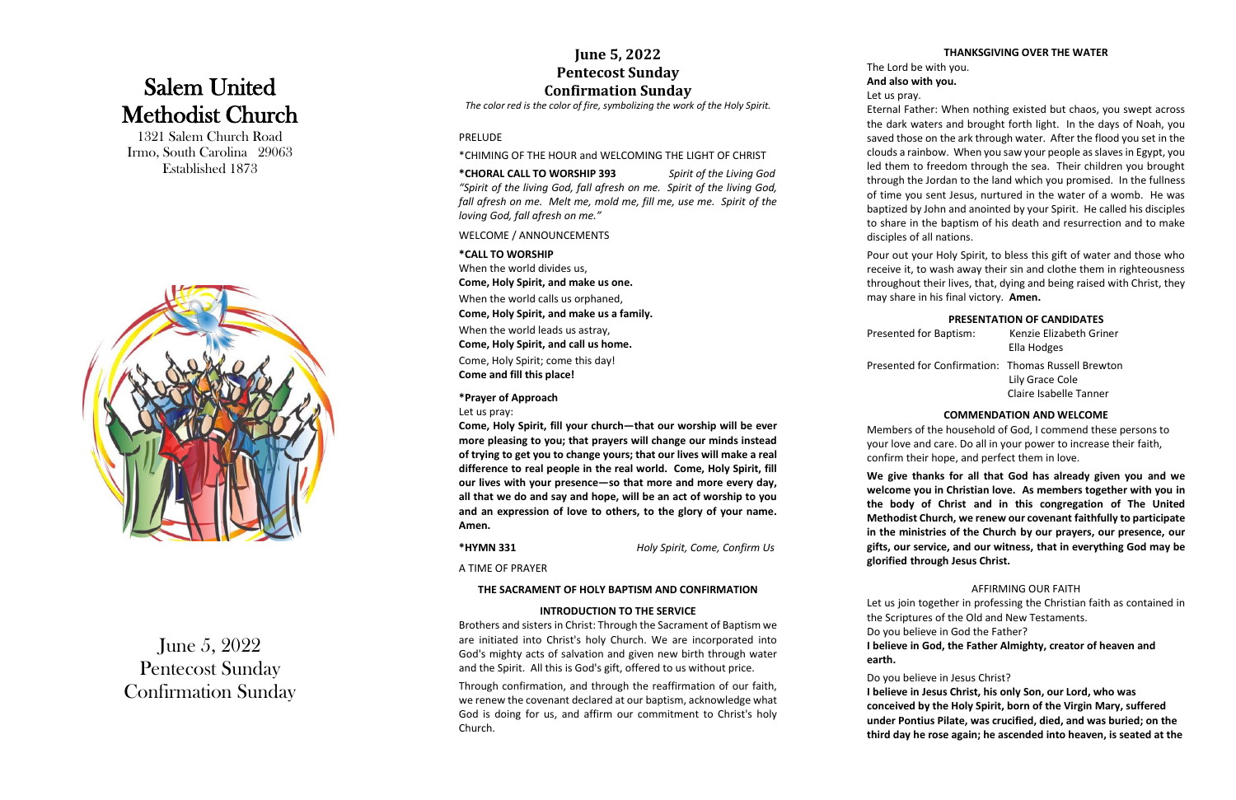## Salem United Methodist Church

1321 Salem Church Road Irmo, South Carolina 29063 Established 1873



June 5, 202 2 Pentecost Sunday Confirmation Sunday

#### **June 5, 2022 Pentecost Sunday Confirmation Sunday**

*The color red is the color of fire, symbolizing the work of the Holy Spirit.*

#### PRELUDE

\*CHIMING OF THE HOUR and WELCOMING THE LIGHT OF CHRIST

#### **\*CHORAL CALL TO WORSHIP 393** *Spirit of the Living God "Spirit of the living God, fall afresh on me. Spirit of the living God, fall afresh on me. Melt me, mold me, fill me, use me. Spirit of the loving God, fall afresh on me."*

WELCOME / ANNOUNCEMENTS

| *CALL TO WORSHIP                                                              | Pc |
|-------------------------------------------------------------------------------|----|
| When the world divides us,                                                    | re |
| Come, Holy Spirit, and make us one.                                           | th |
| When the world calls us orphaned,<br>Come, Holy Spirit, and make us a family. | m  |
| When the world leads us astray,<br>Come, Holy Spirit, and call us home.       | Pr |
| Come, Holy Spirit; come this day!<br><b>Come and fill this place!</b>         | Pr |

**\*Prayer of Approach**

Let us pray:

**Come, Holy Spirit, fill your church —that our worship will be ever more pleasing to you; that prayers will change our minds instead of trying to get you to change yours; that our lives will make a real difference to real people in the real world. Come, Holy Spirit, fill our lives with your presence — so that more and more every day, all that we do and say and hope, will be an act of worship to you and an expression of love to others, to the glory of your name. Amen.**

**\*HYMN 331** *Holy Spirit, Come, Confirm Us*

A TIME OF PRAYER

#### **THE SACRAMENT OF HOLY BAPTISM AND CONFIRMATION**

bur out your Holy Spirit, to bless this gift of water and those who receive it, to wash away their sin and clothe them in righteousness I roughout their lives, that, dying and being raised with Christ, they may share in his final victory. **Amen.**

#### **INTRODUCTION TO THE SERVICE**

Brothers and sisters in Christ: Through the Sacrament of Baptism we are initiated into Christ's holy Church. We are incorporated into God's mighty acts of salvation and given new birth through water and the Spirit. All this is God's gift, offered to us without price.

Through confirmation, and through the reaffirmation of our faith, we renew the covenant declared at our baptism, acknowledge what God is doing for us, and affirm our commitment to Christ's holy Church.

#### **THANKSGIVING OVER THE WATER**

The Lord be with you.

**And also with you.**

Let us pray.

Eternal Father: When nothing existed but chaos, you swept across the dark waters and brought forth light. In the days of Noah, you saved those on the ark through water. After the flood you set in the clouds a rainbow. When you saw your people as slaves in Egypt, you led them to freedom through the sea. Their children you brought through the Jordan to the land which you promised. In the fullness of time you sent Jesus, nurtured in the water of a womb. He was baptized by John and anointed by your Spirit. He called his disciples to share in the baptism of his death and resurrection and to make disciples of all nations.

#### **PRESENTATION OF CANDIDATES**

| Presented for Baptism:                             | Kenzie Elizabeth Griner<br>Ella Hodges |
|----------------------------------------------------|----------------------------------------|
| Presented for Confirmation: Thomas Russell Brewton | Lily Grace Cole                        |
|                                                    | Claire Isabelle Tanner                 |

#### **COMMENDATION AND WELCOME**

Members of the household of God, I commend these persons to your love and care. Do all in your power to increase their faith, confirm their hope, and perfect them in love.

**We give thanks for all that God has already given you and we welcome you in Christian love. As members together with you in the body of Christ and in this congregation of The United Methodist Church, w e renew our covenant faithfully to participate in the ministries of the Church by our prayers, our presence, our gifts, our service, and our witness, that in everything God may be glorified through Jesus Christ.**

#### AFFIRMING OUR FAITH

Let us join together in professing the Christian faith as contained in the Scriptures of the Old and New Testaments.

Do you believe in God the Father?

**I believe in God, the Father Almighty, creator of heaven and**

**earth.**

#### Do you believe in Jesus Christ?

**I believe in Jesus Christ, his only Son, our Lord, who was conceived by the Holy Spirit, born of the Virgin Mary, suffered under Pontius Pilate, was crucified, died, and was buried; on the third day he rose again; he ascended into heaven, is seated at the**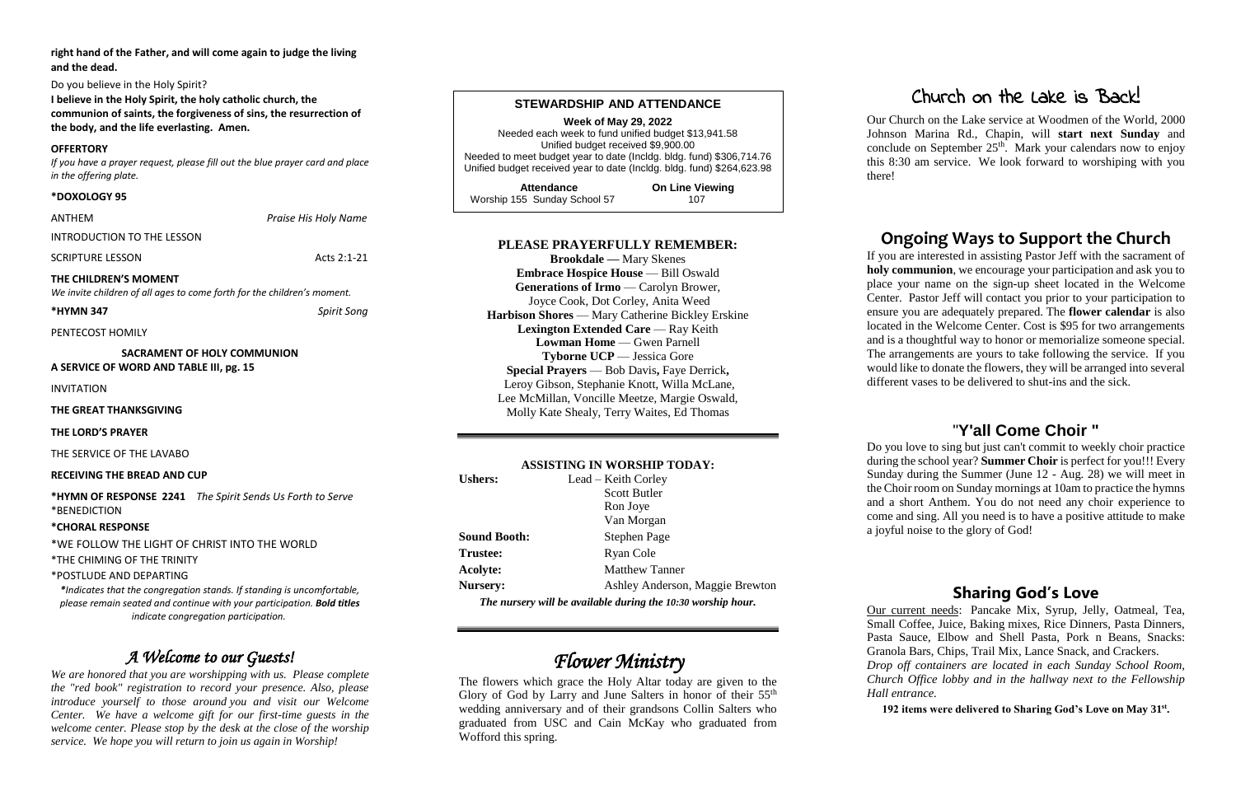**right hand of the Father, and will come again to judge the living and the dead.**

Do you believe in the Holy Spirit?

**I believe in the Holy Spirit, the holy catholic church, the communion of saints, the forgiveness of sins, the resurrection of the body, and the life everlasting. Amen.**

#### **OFFERTORY**

*If you have a prayer request, please fill out the blue prayer card and place in the offering plate.* 

#### **\*DOXOLOGY 95**

ANTHEM *Praise His Holy Name*

INTRODUCTION TO THE LESSON

**SCRIPTURE LESSON Acts 2:1-21** 

#### **THE CHILDREN'S MOMENT**

*We invite children of all ages to come forth for the children's moment.* 

#### **\*HYMN 347** *Spirit Song*

PENTECOST HOMILY

**SACRAMENT OF HOLY COMMUNION A SERVICE OF WORD AND TABLE III, pg. 15**

INVITATION

**THE GREAT THANKSGIVING**

**THE LORD'S PRAYER**

THE SERVICE OF THE LAVABO

#### **RECEIVING THE BREAD AND CUP**

**\*HYMN OF RESPONSE 2241** *The Spirit Sends Us Forth to Serve* \*BENEDICTION

#### **\*CHORAL RESPONSE**

\*WE FOLLOW THE LIGHT OF CHRIST INTO THE WORLD

\*THE CHIMING OF THE TRINITY

\*POSTLUDE AND DEPARTING

*\*Indicates that the congregation stands. If standing is uncomfortable, please remain seated and continue with your participation. Bold titles indicate congregation participation.*

#### *A Welcome to our Guests!*

*We are honored that you are worshipping with us. Please complete the "red book" registration to record your presence. Also, please introduce yourself to those around you and visit our Welcome Center. We have a welcome gift for our first-time guests in the welcome center. Please stop by the desk at the close of the worship service. We hope you will return to join us again in Worship!*

#### **STEWARDSHIP AND ATTENDANCE**

**Week of May 29, 2022** Needed each week to fund unified budget \$13,941.58 Unified budget received \$9,900.00 Needed to meet budget year to date (Incldg. bldg. fund) \$306,714.76 Unified budget received year to date (Incldg. bldg. fund) \$264,623.98

| <b>Attendance</b>            | <b>On Line Viewing</b> |
|------------------------------|------------------------|
| Worship 155 Sunday School 57 | 107                    |

#### **PLEASE PRAYERFULLY REMEMBER:**

**Brookdale —** Mary Skenes **Embrace Hospice House** — Bill Oswald **Generations of Irmo** — Carolyn Brower, Joyce Cook, Dot Corley, Anita Weed **Harbison Shores** — Mary Catherine Bickley Erskine **Lexington Extended Care** — Ray Keith **Lowman Home — Gwen Parnell Tyborne UCP** — Jessica Gore **Special Prayers** — Bob Davis**,** Faye Derrick**,** Leroy Gibson, Stephanie Knott, Willa McLane, Lee McMillan, Voncille Meetze, Margie Oswald, Molly Kate Shealy, Terry Waites, Ed Thomas

#### **ASSISTING IN WORSHIP TODAY:**

| <b>Ushers:</b>                                               | Lead – Keith Corley             |  |  |
|--------------------------------------------------------------|---------------------------------|--|--|
|                                                              | <b>Scott Butler</b>             |  |  |
|                                                              | Ron Joye                        |  |  |
|                                                              | Van Morgan                      |  |  |
| <b>Sound Booth:</b>                                          | Stephen Page                    |  |  |
| <b>Trustee:</b>                                              | Ryan Cole                       |  |  |
| Acolyte:                                                     | <b>Matthew Tanner</b>           |  |  |
| <b>Nursery:</b>                                              | Ashley Anderson, Maggie Brewton |  |  |
| The nursery will be available during the 10:30 worship hour. |                                 |  |  |

### *Flower Ministry*

The flowers which grace the Holy Altar today are given to the Glory of God by Larry and June Salters in honor of their 55<sup>th</sup> wedding anniversary and of their grandsons Collin Salters who graduated from USC and Cain McKay who graduated from Wofford this spring.

#### Church on the Lake is Back!

Our Church on the Lake service at Woodmen of the World, 2000 Johnson Marina Rd., Chapin, will **start next Sunday** and conclude on September  $25<sup>th</sup>$ . Mark your calendars now to enjoy this 8:30 am service. We look forward to worshiping with you

there!

#### **Ongoing Ways to Support the Church**

If you are interested in assisting Pastor Jeff with the sacrament of **holy communion**, we encourage your participation and ask you to place your name on the sign-up sheet located in the Welcome Center. Pastor Jeff will contact you prior to your participation to ensure you are adequately prepared. The **flower calendar** is also located in the Welcome Center. Cost is \$95 for two arrangements and is a thoughtful way to honor or memorialize someone special. The arrangements are yours to take following the service. If you would like to donate the flowers, they will be arranged into several different vases to be delivered to shut-ins and the sick.

#### "**Y'all Come Choir "**

Do you love to sing but just can't commit to weekly choir practice during the school year? **Summer Choir** is perfect for you!!! Every Sunday during the Summer (June 12 - Aug. 28) we will meet in the Choir room on Sunday mornings at 10am to practice the hymns and a short Anthem. You do not need any choir experience to come and sing. All you need is to have a positive attitude to make a joyful noise to the glory of God!

#### **Sharing God's Love**

Our current needs: Pancake Mix, Syrup, Jelly, Oatmeal, Tea, Small Coffee, Juice, Baking mixes, Rice Dinners, Pasta Dinners, Pasta Sauce, Elbow and Shell Pasta, Pork n Beans, Snacks: Granola Bars, Chips, Trail Mix, Lance Snack, and Crackers.

*Drop off containers are located in each Sunday School Room, Church Office lobby and in the hallway next to the Fellowship* 

192 items were delivered to Sharing God's Love on May 31<sup>st</sup>.

# *Hall entrance.*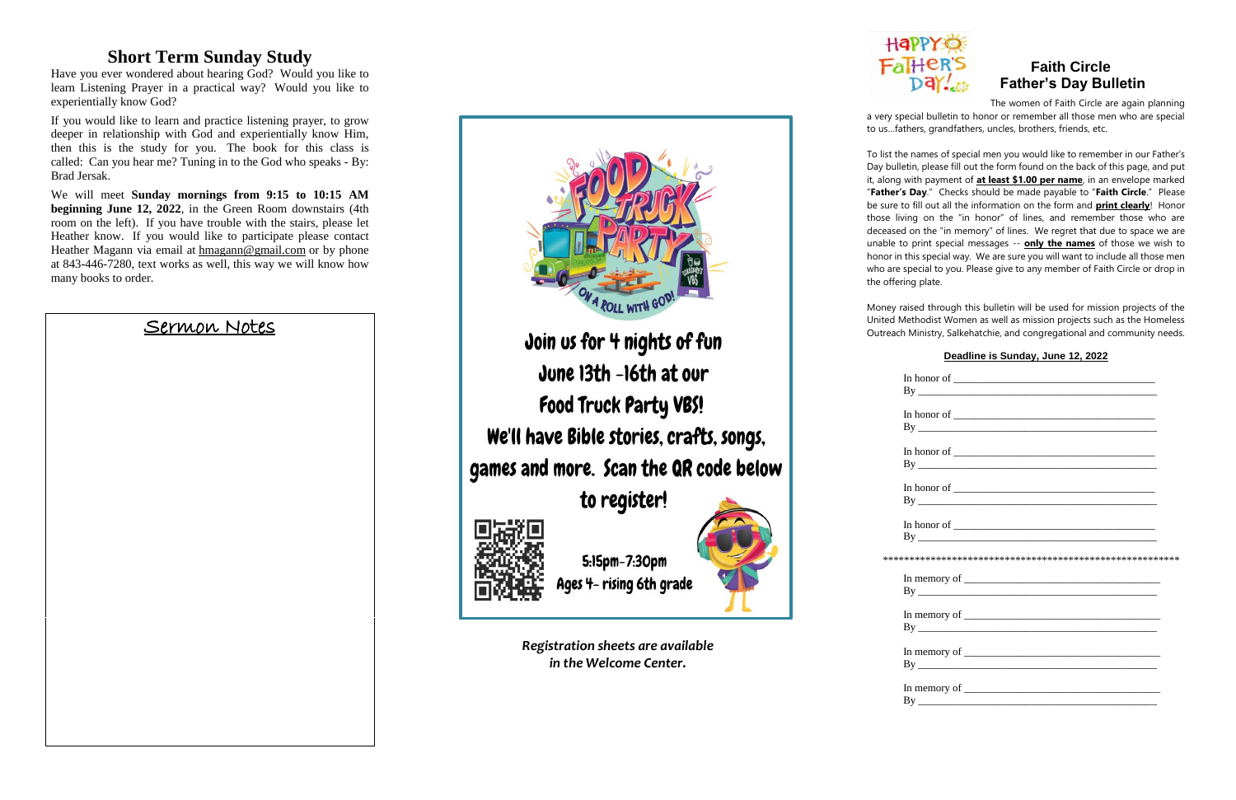#### **Short Term Sunday Study**

Have you ever wondered about hearing God? Would you like to learn Listening Prayer in a practical way? Would you like to experientially know God?

If you would like to learn and practice listening prayer, to grow deeper in relationship with God and experientially know Him, then this is the study for you. The book for this class is called: Can you hear me? Tuning in to the God who speaks - By: Brad Jersak.

#### **Fall+CR'S** Faith Circle<br>Day Father's Day Bull  **Father's Day Bulletin**

We will meet **Sunday mornings from 9:15 to 10:15 AM beginning June 12, 2022**, in the Green Room downstairs (4th room on the left). If you have trouble with the stairs, please let Heather know. If you would like to participate please contact Heather Magann via email at [hmagann@gmail.com](mailto:hmagann@gmail.com) or by phone at 843-446-7280, text works as well, this way we will know how many books to order.

#### Sermon Notes



*Registration sheets are available in the Welcome Center.*

# Happ

 The women of Faith Circle are again planning a very special bulletin to honor or remember all those men who are special to us…fathers, grandfathers, uncles, brothers, friends, etc.

To list the names of special men you would like to remember in our Father's Day bulletin, please fill out the form found on the back of this page, and put it, along with payment of **at least \$1.00 per name**, in an envelope marked "**Father's Day**." Checks should be made payable to "**Faith Circle**." Please be sure to fill out all the information on the form and **print clearly**! Honor those living on the "in honor" of lines, and remember those who are deceased on the "in memory" of lines. We regret that due to space we are unable to print special messages -- **only the names** of those we wish to honor in this special way. We are sure you will want to include all those men who are special to you. Please give to any member of Faith Circle or drop in the offering plate.



Money raised through this bulletin will be used for mission projects of the United Methodist Women as well as mission projects such as the Homeless Outreach Ministry, Salkehatchie, and congregational and community needs.

#### **Deadline is Sunday, June 12, 2022**

| In honor of $\overline{\phantom{a}}$     |  |
|------------------------------------------|--|
|                                          |  |
|                                          |  |
| By                                       |  |
| In honor of $\overline{\phantom{a}}$     |  |
| By                                       |  |
|                                          |  |
|                                          |  |
|                                          |  |
|                                          |  |
|                                          |  |
|                                          |  |
|                                          |  |
|                                          |  |
| In memory of $\overline{\qquad \qquad }$ |  |